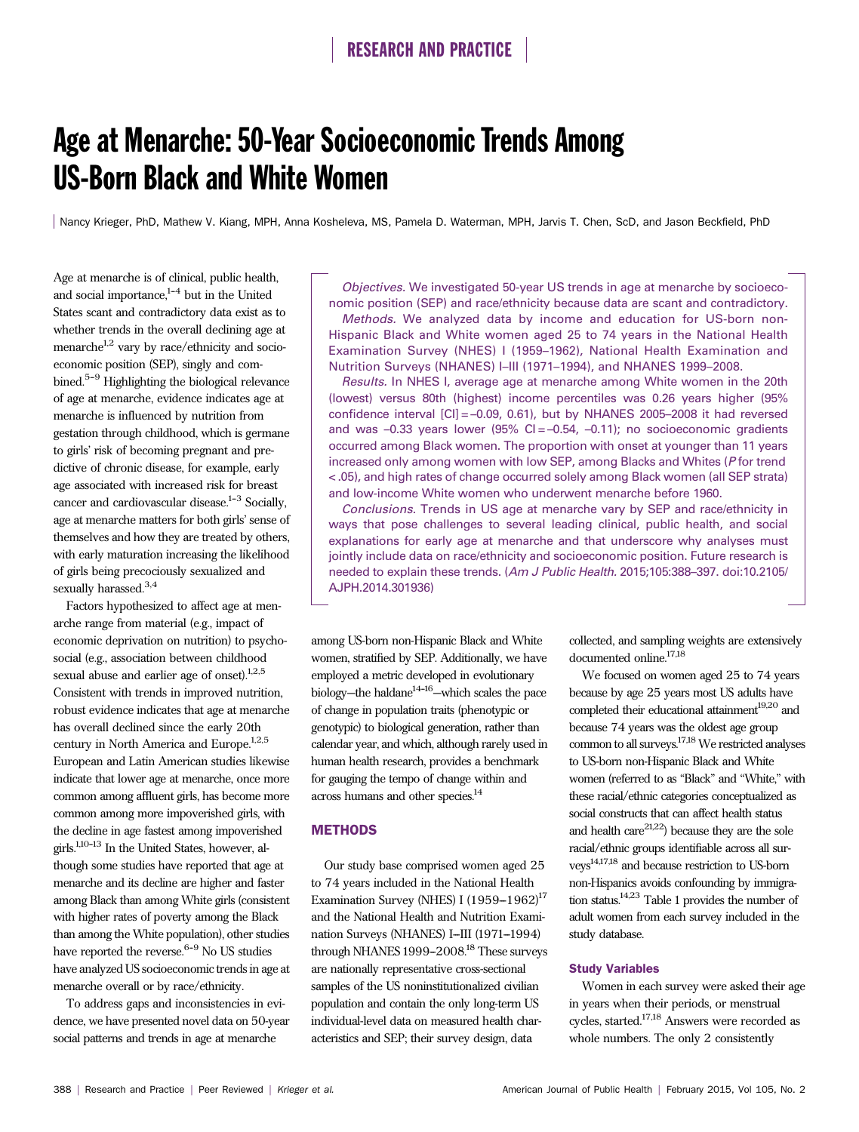# Age at Menarche: 50-Year Socioeconomic Trends Among US-Born Black and White Women

Nancy Krieger, PhD, Mathew V. Kiang, MPH, Anna Kosheleva, MS, Pamela D. Waterman, MPH, Jarvis T. Chen, ScD, and Jason Beckfield, PhD

Age at menarche is of clinical, public health, and social importance, $1-4$  but in the United States scant and contradictory data exist as to whether trends in the overall declining age at menarche<sup>1,2</sup> vary by race/ethnicity and socioeconomic position (SEP), singly and combined. $5-9$  Highlighting the biological relevance of age at menarche, evidence indicates age at menarche is influenced by nutrition from gestation through childhood, which is germane to girls' risk of becoming pregnant and predictive of chronic disease, for example, early age associated with increased risk for breast cancer and cardiovascular disease. $1-3$  Socially, age at menarche matters for both girls' sense of themselves and how they are treated by others, with early maturation increasing the likelihood of girls being precociously sexualized and sexually harassed.<sup>3,4</sup>

Factors hypothesized to affect age at menarche range from material (e.g., impact of economic deprivation on nutrition) to psychosocial (e.g., association between childhood sexual abuse and earlier age of onset).<sup>1,2,5</sup> Consistent with trends in improved nutrition, robust evidence indicates that age at menarche has overall declined since the early 20th century in North America and Europe.<sup>1,2,5</sup> European and Latin American studies likewise indicate that lower age at menarche, once more common among affluent girls, has become more common among more impoverished girls, with the decline in age fastest among impoverished girls.<sup>1,10-13</sup> In the United States, however, although some studies have reported that age at menarche and its decline are higher and faster among Black than among White girls (consistent with higher rates of poverty among the Black than among the White population), other studies have reported the reverse.<sup>6-9</sup> No US studies have analyzed US socioeconomic trends in age at menarche overall or by race/ethnicity.

To address gaps and inconsistencies in evidence, we have presented novel data on 50-year social patterns and trends in age at menarche

Objectives. We investigated 50-year US trends in age at menarche by socioeconomic position (SEP) and race/ethnicity because data are scant and contradictory.

Methods. We analyzed data by income and education for US-born non-Hispanic Black and White women aged 25 to 74 years in the National Health Examination Survey (NHES) I (1959–1962), National Health Examination and Nutrition Surveys (NHANES) I–III (1971–1994), and NHANES 1999–2008.

Results. In NHES I, average age at menarche among White women in the 20th (lowest) versus 80th (highest) income percentiles was 0.26 years higher (95% confidence interval [CI] = –0.09, 0.61), but by NHANES 2005–2008 it had reversed and was  $-0.33$  years lower (95% CI =  $-0.54$ ,  $-0.11$ ); no socioeconomic gradients occurred among Black women. The proportion with onset at younger than 11 years increased only among women with low SEP, among Blacks and Whites (P for trend < .05), and high rates of change occurred solely among Black women (all SEP strata) and low-income White women who underwent menarche before 1960.

Conclusions. Trends in US age at menarche vary by SEP and race/ethnicity in ways that pose challenges to several leading clinical, public health, and social explanations for early age at menarche and that underscore why analyses must jointly include data on race/ethnicity and socioeconomic position. Future research is needed to explain these trends. (Am J Public Health. 2015;105:388–397. doi:10.2105/ AJPH.2014.301936)

among US-born non-Hispanic Black and White women, stratified by SEP. Additionally, we have employed a metric developed in evolutionary biology—the haldane $14-16$ —which scales the pace of change in population traits (phenotypic or genotypic) to biological generation, rather than calendar year, and which, although rarely used in human health research, provides a benchmark for gauging the tempo of change within and across humans and other species.14

### **METHODS**

Our study base comprised women aged 25 to 74 years included in the National Health Examination Survey (NHES) I (1959-1962)<sup>17</sup> and the National Health and Nutrition Examination Surveys (NHANES) I-III (1971-1994) through NHANES 1999-2008.<sup>18</sup> These surveys are nationally representative cross-sectional samples of the US noninstitutionalized civilian population and contain the only long-term US individual-level data on measured health characteristics and SEP; their survey design, data

collected, and sampling weights are extensively documented online.17,18

We focused on women aged 25 to 74 years because by age 25 years most US adults have completed their educational attainment $^{19,20}$  and because 74 years was the oldest age group common to all surveys.17,18 We restricted analyses to US-born non-Hispanic Black and White women (referred to as "Black" and "White," with these racial/ethnic categories conceptualized as social constructs that can affect health status and health care $21,22$ ) because they are the sole racial/ethnic groups identifiable across all surveys14,17,18 and because restriction to US-born non-Hispanics avoids confounding by immigration status.14,23 Table 1 provides the number of adult women from each survey included in the study database.

#### Study Variables

Women in each survey were asked their age in years when their periods, or menstrual cycles, started.17,18 Answers were recorded as whole numbers. The only 2 consistently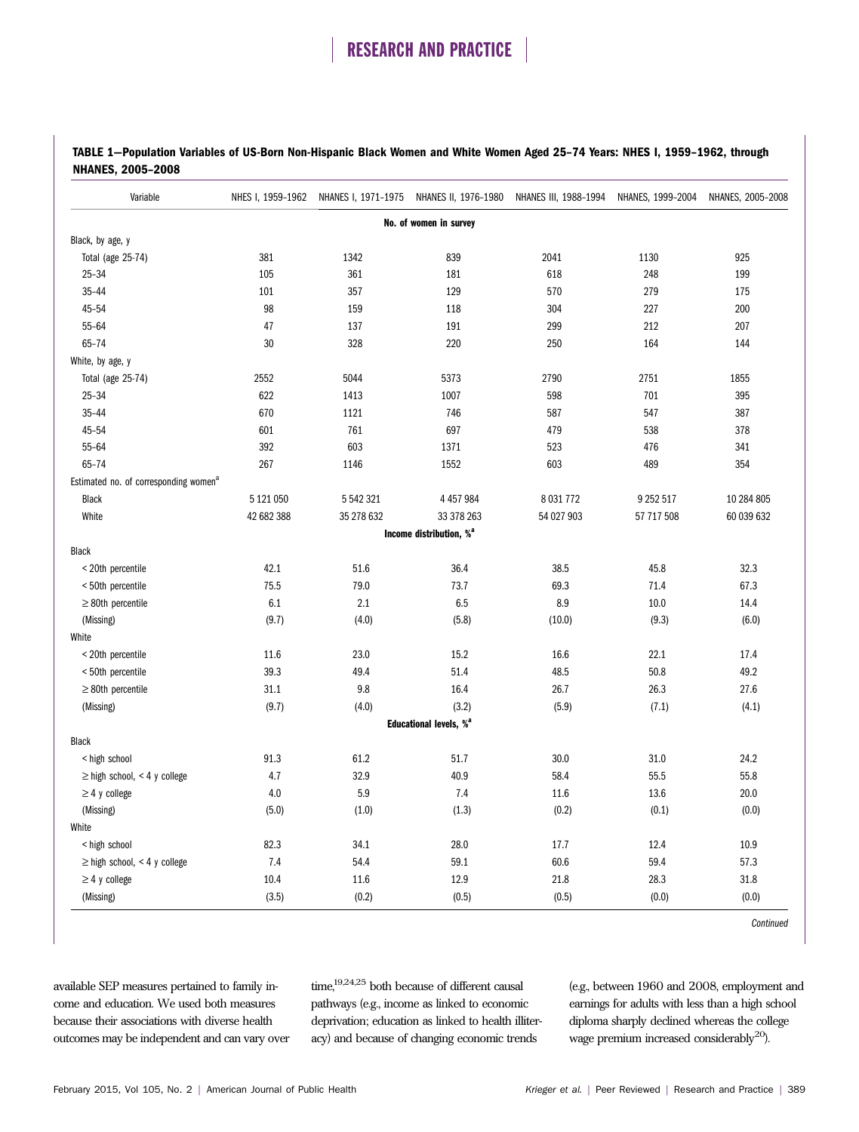| TABLE 1–Population Variables of US-Born Non-Hispanic Black Women and White Women Aged 25–74 Years: NHES I, 1959–1962, through |  |  |  |
|-------------------------------------------------------------------------------------------------------------------------------|--|--|--|
| <b>NHANES, 2005-2008</b>                                                                                                      |  |  |  |

| Variable                                          |            |            |                                     | NHES I, 1959-1962 NHANES I, 1971-1975 NHANES II, 1976-1980 NHANES III, 1988-1994 | NHANES, 1999-2004 | NHANES, 2005-2008 |  |
|---------------------------------------------------|------------|------------|-------------------------------------|----------------------------------------------------------------------------------|-------------------|-------------------|--|
| No. of women in survey                            |            |            |                                     |                                                                                  |                   |                   |  |
| Black, by age, y                                  |            |            |                                     |                                                                                  |                   |                   |  |
| Total (age 25-74)                                 | 381        | 1342       | 839                                 | 2041                                                                             | 1130              | 925               |  |
| $25 - 34$                                         | 105        | 361        | 181                                 | 618                                                                              | 248               | 199               |  |
| $35 - 44$                                         | 101        | 357        | 129                                 | 570                                                                              | 279               | 175               |  |
| 45-54                                             | 98         | 159        | 118                                 | 304                                                                              | 227               | 200               |  |
| 55-64                                             | 47         | 137        | 191                                 | 299                                                                              | 212               | 207               |  |
| 65-74                                             | 30         | 328        | 220                                 | 250                                                                              | 164               | 144               |  |
| White, by age, y                                  |            |            |                                     |                                                                                  |                   |                   |  |
| Total (age 25-74)                                 | 2552       | 5044       | 5373                                | 2790                                                                             | 2751              | 1855              |  |
| $25 - 34$                                         | 622        | 1413       | 1007                                | 598                                                                              | 701               | 395               |  |
| $35 - 44$                                         | 670        | 1121       | 746                                 | 587                                                                              | 547               | 387               |  |
| 45-54                                             | 601        | 761        | 697                                 | 479                                                                              | 538               | 378               |  |
| 55-64                                             | 392        | 603        | 1371                                | 523                                                                              | 476               | 341               |  |
| $65 - 74$                                         | 267        | 1146       | 1552                                | 603                                                                              | 489               | 354               |  |
| Estimated no. of corresponding women <sup>a</sup> |            |            |                                     |                                                                                  |                   |                   |  |
| Black                                             | 5 121 050  | 5 542 321  | 4 4 5 7 9 8 4                       | 8 0 31 7 7 2                                                                     | 9 252 517         | 10 284 805        |  |
| White                                             | 42 682 388 | 35 278 632 | 33 378 263                          | 54 027 903                                                                       | 57 717 508        | 60 039 632        |  |
|                                                   |            |            | Income distribution, % <sup>a</sup> |                                                                                  |                   |                   |  |
| Black                                             |            |            |                                     |                                                                                  |                   |                   |  |
| < 20th percentile                                 | 42.1       | 51.6       | 36.4                                | 38.5                                                                             | 45.8              | 32.3              |  |
| < 50th percentile                                 | 75.5       | 79.0       | 73.7                                | 69.3                                                                             | 71.4              | 67.3              |  |
| $\geq$ 80th percentile                            | 6.1        | 2.1        | 6.5                                 | 8.9                                                                              | 10.0              | 14.4              |  |
| (Missing)                                         | (9.7)      | (4.0)      | (5.8)                               | (10.0)                                                                           | (9.3)             | (6.0)             |  |
| White                                             |            |            |                                     |                                                                                  |                   |                   |  |
| < 20th percentile                                 | 11.6       | 23.0       | 15.2                                | 16.6                                                                             | 22.1              | 17.4              |  |
| < 50th percentile                                 | 39.3       | 49.4       | 51.4                                | 48.5                                                                             | 50.8              | 49.2              |  |
| $\geq$ 80th percentile                            | 31.1       | 9.8        | 16.4                                | 26.7                                                                             | 26.3              | 27.6              |  |
| (Missing)                                         | (9.7)      | (4.0)      | (3.2)                               | (5.9)                                                                            | (7.1)             | (4.1)             |  |
|                                                   |            |            | Educational levels, % <sup>a</sup>  |                                                                                  |                   |                   |  |
| Black                                             |            |            |                                     |                                                                                  |                   |                   |  |
| < high school                                     | 91.3       | 61.2       | 51.7                                | 30.0                                                                             | 31.0              | 24.2              |  |
| $\geq$ high school, < 4 y college                 | 4.7        | 32.9       | 40.9                                | 58.4                                                                             | 55.5              | 55.8              |  |
| $\geq$ 4 y college                                | 4.0        | 5.9        | 7.4                                 | 11.6                                                                             | 13.6              | 20.0              |  |
| (Missing)                                         | (5.0)      | (1.0)      | (1.3)                               | (0.2)                                                                            | (0.1)             | (0.0)             |  |
| White                                             |            |            |                                     |                                                                                  |                   |                   |  |
| < high school                                     | 82.3       | 34.1       | 28.0                                | 17.7                                                                             | 12.4              | 10.9              |  |
| $\geq$ high school, < 4 y college                 | 7.4        | 54.4       | 59.1                                | 60.6                                                                             | 59.4              | 57.3              |  |
| $\geq$ 4 y college                                | 10.4       | 11.6       | 12.9                                | 21.8                                                                             | 28.3              | 31.8              |  |
| (Missing)                                         | (3.5)      | (0.2)      | (0.5)                               | (0.5)                                                                            | (0.0)             | (0.0)             |  |

**Continued** 

available SEP measures pertained to family income and education. We used both measures because their associations with diverse health outcomes may be independent and can vary over  $\text{time,}^{19,24,25}$  both because of different causal pathways (e.g., income as linked to economic deprivation; education as linked to health illiteracy) and because of changing economic trends

(e.g., between 1960 and 2008, employment and earnings for adults with less than a high school diploma sharply declined whereas the college wage premium increased considerably<sup>20</sup>).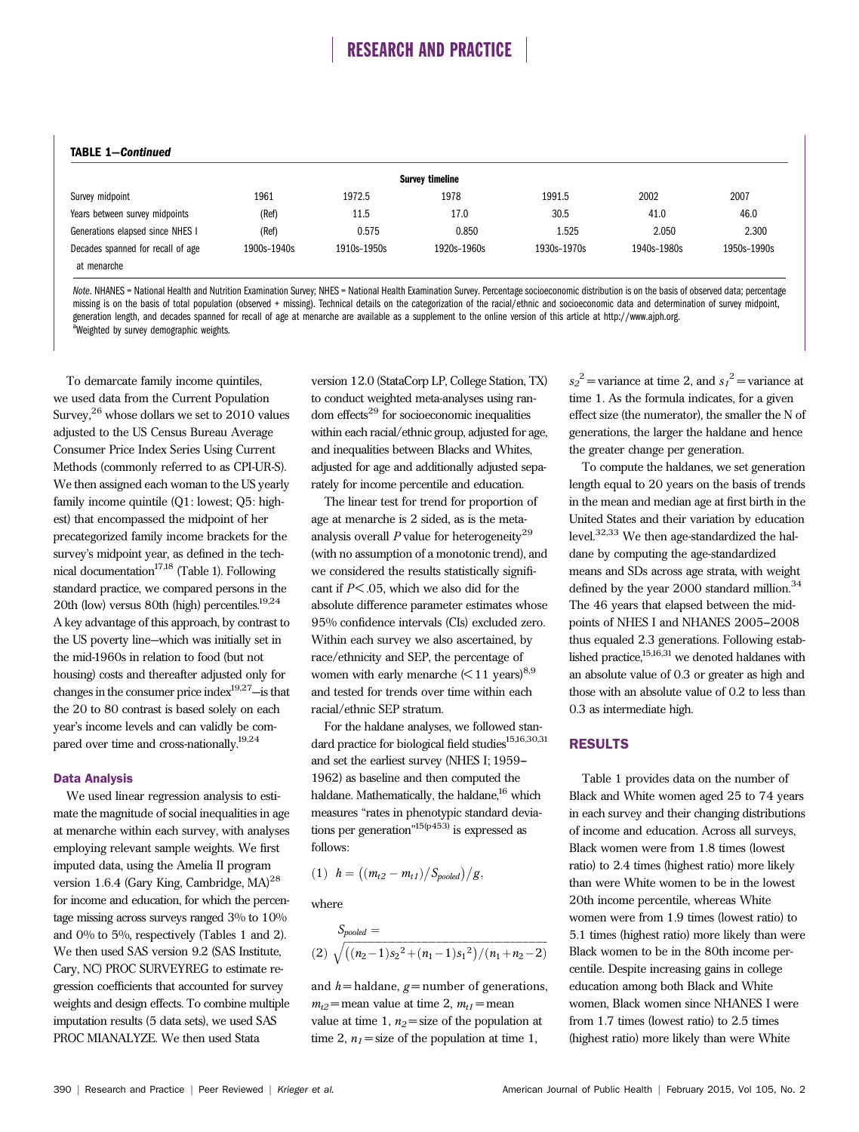### TABLE 1—Continued

| 1991.5<br>30.5 | 2002                 | 2007        |
|----------------|----------------------|-------------|
|                |                      |             |
|                | 41.0                 | 46.0        |
| 1.525          | 2.050                | 2.300       |
|                | 1940s-1980s          | 1950s-1990s |
|                | 0.850<br>1920s-1960s | 1930s-1970s |

Note. NHANES = National Health and Nutrition Examination Survey; NHES = National Health Examination Survey. Percentage socioeconomic distribution is on the basis of observed data; percentage missing is on the basis of total population (observed + missing). Technical details on the categorization of the racial/ethnic and socioeconomic data and determination of survey midpoint, generation length, and decades spanned for recall of age at menarche are available as a supplement to the online version of this article at [http://www.ajph.org.](http://www.ajph.org) Weighted by survey demographic weights.

To demarcate family income quintiles, we used data from the Current Population Survey,  $2^6$  whose dollars we set to 2010 values adjusted to the US Census Bureau Average Consumer Price Index Series Using Current Methods (commonly referred to as CPI-UR-S). We then assigned each woman to the US yearly family income quintile (Q1: lowest; Q5: highest) that encompassed the midpoint of her precategorized family income brackets for the survey's midpoint year, as defined in the technical documentation<sup>17,18</sup> (Table 1). Following standard practice, we compared persons in the 20th (low) versus 80th (high) percentiles.19,24 A key advantage of this approach, by contrast to the US poverty line—which was initially set in the mid-1960s in relation to food (but not housing) costs and thereafter adjusted only for changes in the consumer price index19,27—is that the 20 to 80 contrast is based solely on each year's income levels and can validly be compared over time and cross-nationally.19,24

### Data Analysis

We used linear regression analysis to estimate the magnitude of social inequalities in age at menarche within each survey, with analyses employing relevant sample weights. We first imputed data, using the Amelia II program version 1.6.4 (Gary King, Cambridge, MA)<sup>28</sup> for income and education, for which the percentage missing across surveys ranged 3% to 10% and 0% to 5%, respectively (Tables 1 and 2). We then used SAS version 9.2 (SAS Institute, Cary, NC) PROC SURVEYREG to estimate regression coefficients that accounted for survey weights and design effects. To combine multiple imputation results (5 data sets), we used SAS PROC MIANALYZE. We then used Stata

version 12.0 (StataCorp LP, College Station, TX) to conduct weighted meta-analyses using random effects $^{29}$  for socioeconomic inequalities within each racial/ethnic group, adjusted for age, and inequalities between Blacks and Whites, adjusted for age and additionally adjusted separately for income percentile and education.

The linear test for trend for proportion of age at menarche is 2 sided, as is the metaanalysis overall  $P$  value for heterogeneity<sup>29</sup> (with no assumption of a monotonic trend), and we considered the results statistically significant if  $P \le 0.05$ , which we also did for the absolute difference parameter estimates whose 95% confidence intervals (CIs) excluded zero. Within each survey we also ascertained, by race/ethnicity and SEP, the percentage of women with early menarche  $(< 11$  years)<sup>8,9</sup> and tested for trends over time within each racial/ethnic SEP stratum.

For the haldane analyses, we followed standard practice for biological field studies<sup>15,16,30,31</sup> and set the earliest survey (NHES I; 1959-1962) as baseline and then computed the haldane. Mathematically, the haldane, $16$  which measures "rates in phenotypic standard deviations per generation"<sup>15(p453)</sup> is expressed as follows:

$$
(1) \ \ h = ((m_{t2}-m_{t1})/S_{pooled})/g,
$$

where

$$
S_{pooled} = (2) \sqrt{\left((n_2-1)s_2^2 + (n_1-1)s_1^2\right)/(n_1+n_2-2)}
$$

and  $h$  = haldane,  $g$  = number of generations,  $m_{t2}$  = mean value at time 2,  $m_{t1}$  = mean value at time 1,  $n_2$  = size of the population at time 2,  $n_1$  = size of the population at time 1,

 $s_2^2$  = variance at time 2, and  $s_1^2$  = variance at time 1. As the formula indicates, for a given effect size (the numerator), the smaller the N of generations, the larger the haldane and hence the greater change per generation.

To compute the haldanes, we set generation length equal to 20 years on the basis of trends in the mean and median age at first birth in the United States and their variation by education level.32,33 We then age-standardized the haldane by computing the age-standardized means and SDs across age strata, with weight defined by the year 2000 standard million.<sup>34</sup> The 46 years that elapsed between the midpoints of NHES I and NHANES 2005-2008 thus equaled 2.3 generations. Following established practice,<sup>15,16,31</sup> we denoted haldanes with an absolute value of 0.3 or greater as high and those with an absolute value of 0.2 to less than 0.3 as intermediate high.

### RESULTS

Table 1 provides data on the number of Black and White women aged 25 to 74 years in each survey and their changing distributions of income and education. Across all surveys, Black women were from 1.8 times (lowest ratio) to 2.4 times (highest ratio) more likely than were White women to be in the lowest 20th income percentile, whereas White women were from 1.9 times (lowest ratio) to 5.1 times (highest ratio) more likely than were Black women to be in the 80th income percentile. Despite increasing gains in college education among both Black and White women, Black women since NHANES I were from 1.7 times (lowest ratio) to 2.5 times (highest ratio) more likely than were White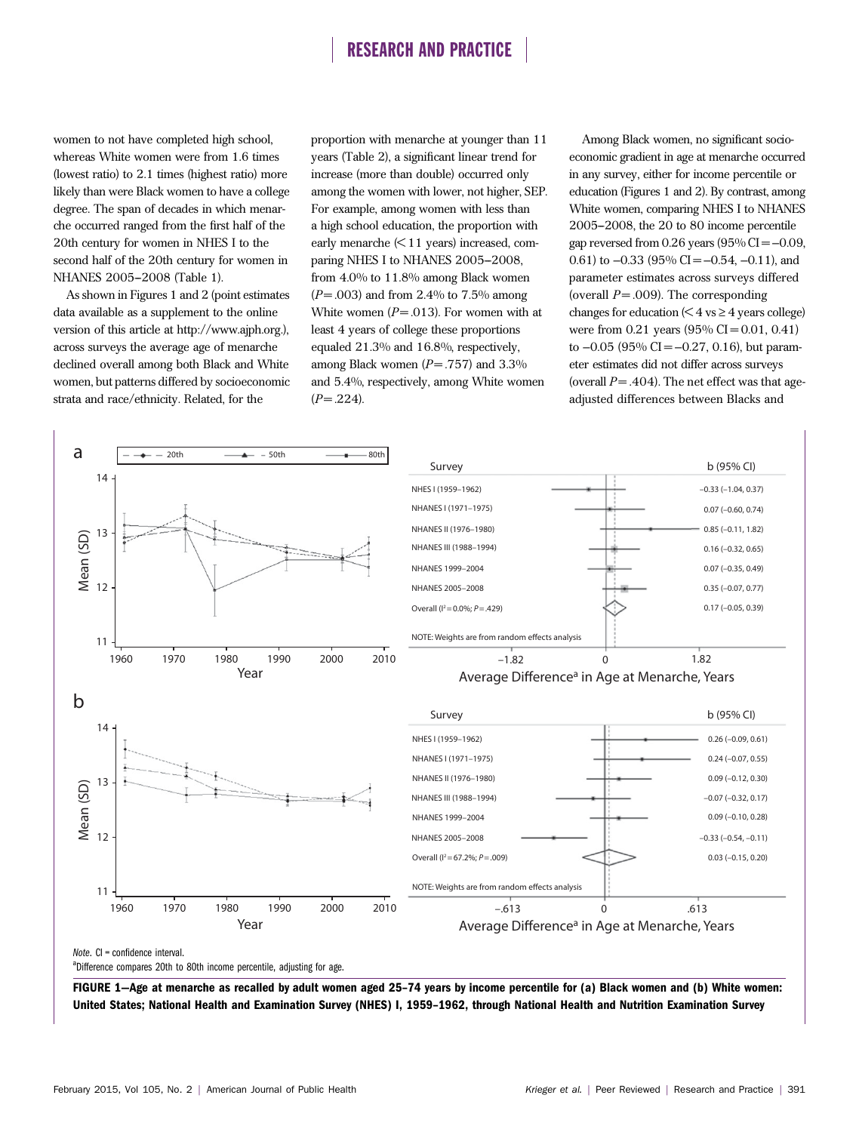women to not have completed high school, whereas White women were from 1.6 times (lowest ratio) to 2.1 times (highest ratio) more likely than were Black women to have a college degree. The span of decades in which menarche occurred ranged from the first half of the 20th century for women in NHES I to the second half of the 20th century for women in NHANES 2005-2008 (Table 1).

As shown in Figures 1 and 2 (point estimates data available as a supplement to the online version of this article at<http://www.ajph.org>.), across surveys the average age of menarche declined overall among both Black and White women, but patterns differed by socioeconomic strata and race/ethnicity. Related, for the

proportion with menarche at younger than 11 years (Table 2), a significant linear trend for increase (more than double) occurred only among the women with lower, not higher, SEP. For example, among women with less than a high school education, the proportion with early menarche  $\leq 11$  years) increased, comparing NHES I to NHANES 2005-2008, from 4.0% to 11.8% among Black women  $(P = .003)$  and from 2.4% to 7.5% among White women  $(P = .013)$ . For women with at least 4 years of college these proportions equaled 21.3% and 16.8%, respectively, among Black women  $(P = .757)$  and 3.3% and 5.4%, respectively, among White women  $(P = .224)$ .

Among Black women, no significant socioeconomic gradient in age at menarche occurred in any survey, either for income percentile or education (Figures 1 and 2). By contrast, among White women, comparing NHES I to NHANES  $2005-2008$ , the  $20$  to  $80$  income percentile gap reversed from  $0.26$  years  $(95\%$  CI =  $-0.09$ , 0.61) to  $-0.33$  (95% CI =  $-0.54$ ,  $-0.11$ ), and parameter estimates across surveys differed (overall  $P = .009$ ). The corresponding changes for education  $(< 4 \text{ vs } \geq 4 \text{ years}$  college) were from  $0.21$  years  $(95\% \text{ CI} = 0.01, 0.41)$ to  $-0.05$  (95% CI =  $-0.27$ , 0.16), but parameter estimates did not differ across surveys (overall  $P = .404$ ). The net effect was that ageadjusted differences between Blacks and



<sup>a</sup>Difference compares 20th to 80th income percentile, adjusting for age.

FIGURE 1—Age at menarche as recalled by adult women aged 25–74 years by income percentile for (a) Black women and (b) White women: United States; National Health and Examination Survey (NHES) I, 1959–1962, through National Health and Nutrition Examination Survey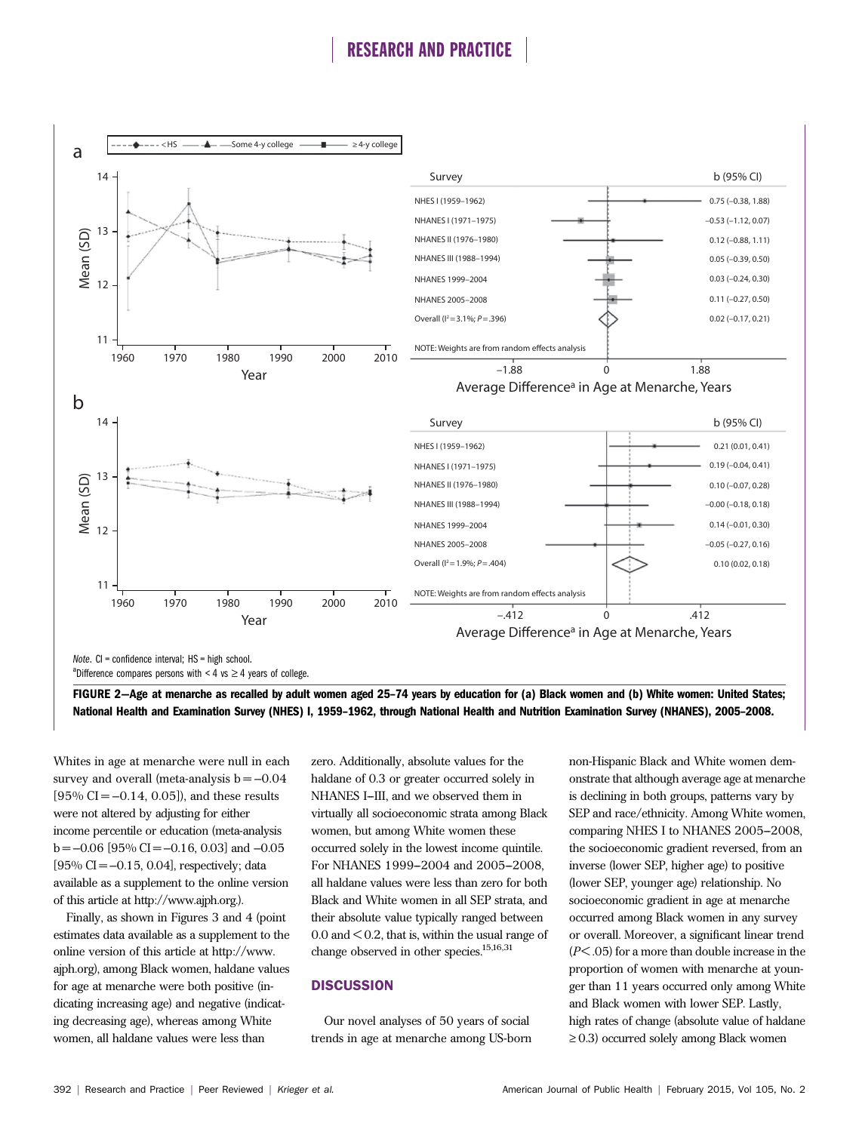

<sup>a</sup>Difference compares persons with < 4 vs  $\geq$  4 years of college.

FIGURE 2—Age at menarche as recalled by adult women aged 25–74 years by education for (a) Black women and (b) White women: United States; National Health and Examination Survey (NHES) I, 1959–1962, through National Health and Nutrition Examination Survey (NHANES), 2005–2008.

Whites in age at menarche were null in each survey and overall (meta-analysis  $b = -0.04$  $[95\% \text{ CI} = -0.14, 0.05]$ , and these results were not altered by adjusting for either income percentile or education (meta-analysis  $b = -0.06$  [95% CI = -0.16, 0.03] and -0.05  $[95\% \text{ CI} = -0.15, 0.04]$ , respectively; data available as a supplement to the online version of this article at [http://www.ajph.org.](http://www.ajph.org)).

Finally, as shown in Figures 3 and 4 (point estimates data available as a supplement to the online version of this article at [http://www.](http://www.ajph.org) [ajph.org](http://www.ajph.org)), among Black women, haldane values for age at menarche were both positive (indicating increasing age) and negative (indicating decreasing age), whereas among White women, all haldane values were less than

zero. Additionally, absolute values for the haldane of 0.3 or greater occurred solely in NHANES I-III, and we observed them in virtually all socioeconomic strata among Black women, but among White women these occurred solely in the lowest income quintile. For NHANES 1999-2004 and 2005-2008, all haldane values were less than zero for both Black and White women in all SEP strata, and their absolute value typically ranged between  $0.0$  and  $\leq 0.2$ , that is, within the usual range of change observed in other species.<sup>15,16,31</sup>

## **DISCUSSION**

Our novel analyses of 50 years of social trends in age at menarche among US-born

non-Hispanic Black and White women demonstrate that although average age at menarche is declining in both groups, patterns vary by SEP and race/ethnicity. Among White women, comparing NHES I to NHANES 2005-2008, the socioeconomic gradient reversed, from an inverse (lower SEP, higher age) to positive (lower SEP, younger age) relationship. No socioeconomic gradient in age at menarche occurred among Black women in any survey or overall. Moreover, a significant linear trend  $(P<.05)$  for a more than double increase in the proportion of women with menarche at younger than 11 years occurred only among White and Black women with lower SEP. Lastly, high rates of change (absolute value of haldane  $\geq$  0.3) occurred solely among Black women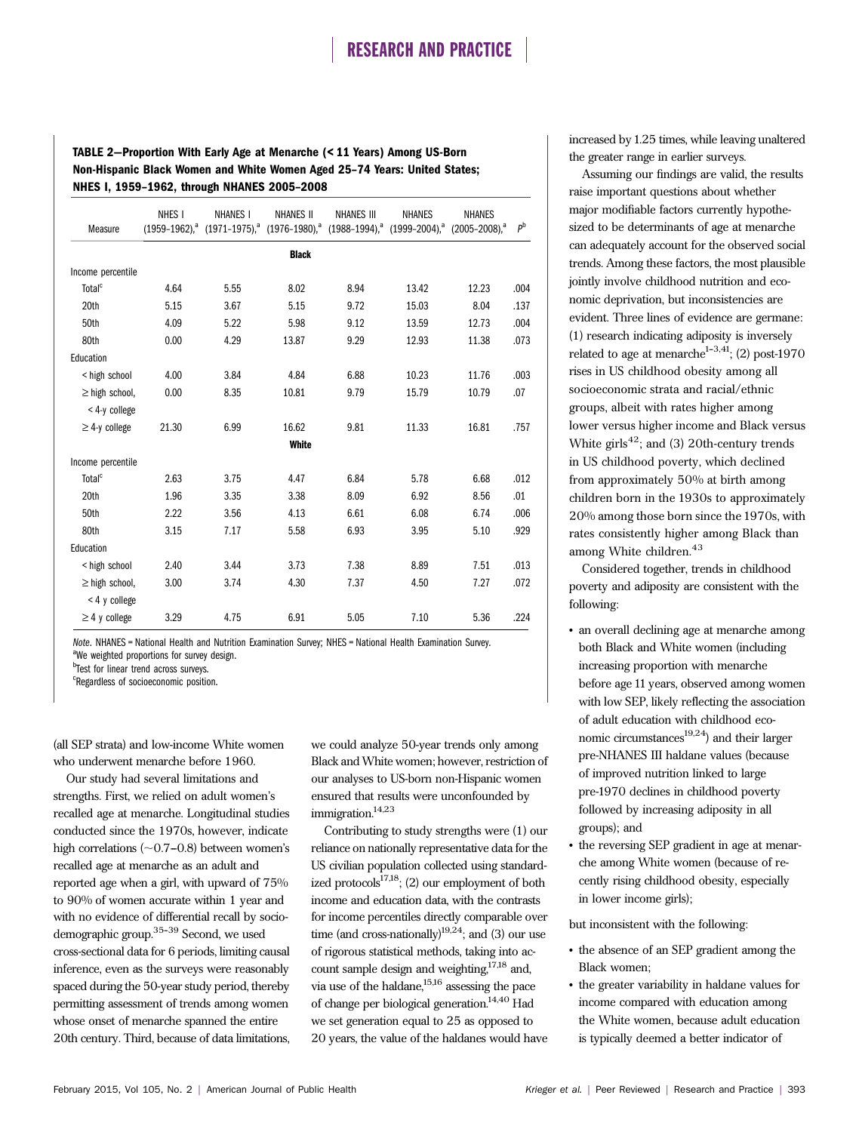## TABLE 2—Proportion With Early Age at Menarche (< 11 Years) Among US-Born Non-Hispanic Black Women and White Women Aged 25–74 Years: United States; NHES I, 1959–1962, through NHANES 2005–2008

| Measure             | NHES <sub>I</sub> | <b>NHANES I</b><br>$(1959-1962)^a$ $(1971-1975)^a$ $(1976-1980)^a$ $(1988-1994)^a$ $(1999-2004)^a$ $(2005-2008)^a$ | <b>NHANES II</b> | <b>NHANES III</b> | <b>NHANES</b> | <b>NHANES</b> | P <sup>b</sup> |  |  |
|---------------------|-------------------|--------------------------------------------------------------------------------------------------------------------|------------------|-------------------|---------------|---------------|----------------|--|--|
|                     | <b>Black</b>      |                                                                                                                    |                  |                   |               |               |                |  |  |
| Income percentile   |                   |                                                                                                                    |                  |                   |               |               |                |  |  |
| Total <sup>c</sup>  | 4.64              | 5.55                                                                                                               | 8.02             | 8.94              | 13.42         | 12.23         | .004           |  |  |
| 20th                | 5.15              | 3.67                                                                                                               | 5.15             | 9.72              | 15.03         | 8.04          | .137           |  |  |
| 50th                | 4.09              | 5.22                                                                                                               | 5.98             | 9.12              | 13.59         | 12.73         | .004           |  |  |
| 80th                | 0.00              | 4.29                                                                                                               | 13.87            | 9.29              | 12.93         | 11.38         | .073           |  |  |
| Education           |                   |                                                                                                                    |                  |                   |               |               |                |  |  |
| < high school       | 4.00              | 3.84                                                                                                               | 4.84             | 6.88              | 10.23         | 11.76         | .003           |  |  |
| $\geq$ high school, | 0.00              | 8.35                                                                                                               | 10.81            | 9.79              | 15.79         | 10.79         | .07            |  |  |
| < 4-y college       |                   |                                                                                                                    |                  |                   |               |               |                |  |  |
| $\geq$ 4-y college  | 21.30             | 6.99                                                                                                               | 16.62            | 9.81              | 11.33         | 16.81         | .757           |  |  |
| White               |                   |                                                                                                                    |                  |                   |               |               |                |  |  |
| Income percentile   |                   |                                                                                                                    |                  |                   |               |               |                |  |  |
| Total <sup>c</sup>  | 2.63              | 3.75                                                                                                               | 4.47             | 6.84              | 5.78          | 6.68          | .012           |  |  |
| 20th                | 1.96              | 3.35                                                                                                               | 3.38             | 8.09              | 6.92          | 8.56          | .01            |  |  |
| 50th                | 2.22              | 3.56                                                                                                               | 4.13             | 6.61              | 6.08          | 6.74          | .006           |  |  |
| 80th                | 3.15              | 7.17                                                                                                               | 5.58             | 6.93              | 3.95          | 5.10          | .929           |  |  |
| Education           |                   |                                                                                                                    |                  |                   |               |               |                |  |  |
| < high school       | 2.40              | 3.44                                                                                                               | 3.73             | 7.38              | 8.89          | 7.51          | .013           |  |  |
| $\geq$ high school, | 3.00              | 3.74                                                                                                               | 4.30             | 7.37              | 4.50          | 7.27          | .072           |  |  |
| < 4 y college       |                   |                                                                                                                    |                  |                   |               |               |                |  |  |
| $\geq$ 4 y college  | 3.29              | 4.75                                                                                                               | 6.91             | 5.05              | 7.10          | 5.36          | .224           |  |  |

Note. NHANES = National Health and Nutrition Examination Survey; NHES = National Health Examination Survey. <sup>a</sup>We weighted proportions for survey design.

b<sub>Test for linear trend across surveys.</sub>

<sup>c</sup>Regardless of socioeconomic position.

(all SEP strata) and low-income White women who underwent menarche before 1960.

Our study had several limitations and strengths. First, we relied on adult women's recalled age at menarche. Longitudinal studies conducted since the 1970s, however, indicate high correlations  $(\sim 0.7-0.8)$  between women's recalled age at menarche as an adult and reported age when a girl, with upward of 75% to 90% of women accurate within 1 year and with no evidence of differential recall by sociodemographic group. $35-39$  Second, we used cross-sectional data for 6 periods, limiting causal inference, even as the surveys were reasonably spaced during the 50-year study period, thereby permitting assessment of trends among women whose onset of menarche spanned the entire 20th century. Third, because of data limitations,

we could analyze 50-year trends only among Black and White women; however, restriction of our analyses to US-born non-Hispanic women ensured that results were unconfounded by immigration.<sup>14,23</sup>

Contributing to study strengths were (1) our reliance on nationally representative data for the US civilian population collected using standardized protocols $17,18$ ; (2) our employment of both income and education data, with the contrasts for income percentiles directly comparable over time (and cross-nationally) $19,24$ ; and (3) our use of rigorous statistical methods, taking into account sample design and weighting, $17,18$  and, via use of the haldane, $15,16$  assessing the pace of change per biological generation. $^{14,40}$  Had we set generation equal to 25 as opposed to 20 years, the value of the haldanes would have increased by 1.25 times, while leaving unaltered the greater range in earlier surveys.

Assuming our findings are valid, the results raise important questions about whether major modifiable factors currently hypothesized to be determinants of age at menarche can adequately account for the observed social trends. Among these factors, the most plausible jointly involve childhood nutrition and economic deprivation, but inconsistencies are evident. Three lines of evidence are germane: (1) research indicating adiposity is inversely related to age at menarche<sup>1-3,41</sup>; (2) post-1970 rises in US childhood obesity among all socioeconomic strata and racial/ethnic groups, albeit with rates higher among lower versus higher income and Black versus White girls<sup>42</sup>; and (3) 20th-century trends in US childhood poverty, which declined from approximately 50% at birth among children born in the 1930s to approximately 20% among those born since the 1970s, with rates consistently higher among Black than among White children.<sup>43</sup>

Considered together, trends in childhood poverty and adiposity are consistent with the following:

- an overall declining age at menarche among both Black and White women (including increasing proportion with menarche before age 11 years, observed among women with low SEP, likely reflecting the association of adult education with childhood economic circumstances<sup>19,24</sup>) and their larger pre-NHANES III haldane values (because of improved nutrition linked to large pre-1970 declines in childhood poverty followed by increasing adiposity in all groups); and
- the reversing SEP gradient in age at menarche among White women (because of recently rising childhood obesity, especially in lower income girls);

but inconsistent with the following:

- the absence of an SEP gradient among the Black women;
- the greater variability in haldane values for income compared with education among the White women, because adult education is typically deemed a better indicator of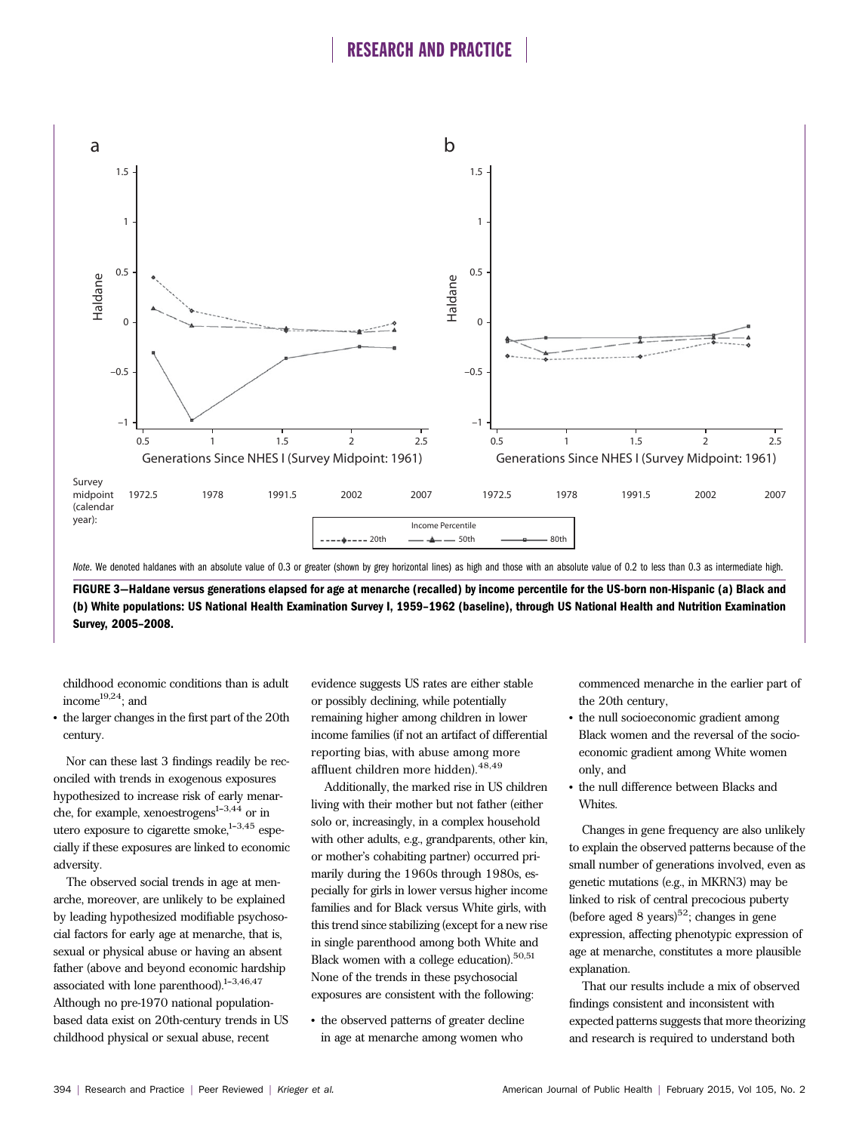

FIGURE 3—Haldane versus generations elapsed for age at menarche (recalled) by income percentile for the US-born non-Hispanic (a) Black and (b) White populations: US National Health Examination Survey I, 1959–1962 (baseline), through US National Health and Nutrition Examination Survey, 2005–2008.

childhood economic conditions than is adult income $19,24$ ; and

• the larger changes in the first part of the 20th century.

Nor can these last 3 findings readily be reconciled with trends in exogenous exposures hypothesized to increase risk of early menarche, for example, xenoestrogens $1-3,44$  or in utero exposure to cigarette smoke, $1-3,45$  especially if these exposures are linked to economic adversity.

The observed social trends in age at menarche, moreover, are unlikely to be explained by leading hypothesized modifiable psychosocial factors for early age at menarche, that is, sexual or physical abuse or having an absent father (above and beyond economic hardship associated with lone parenthood). $1-3,46,47$ Although no pre-1970 national populationbased data exist on 20th-century trends in US childhood physical or sexual abuse, recent

evidence suggests US rates are either stable or possibly declining, while potentially remaining higher among children in lower income families (if not an artifact of differential reporting bias, with abuse among more affluent children more hidden).48,49

Additionally, the marked rise in US children living with their mother but not father (either solo or, increasingly, in a complex household with other adults, e.g., grandparents, other kin, or mother's cohabiting partner) occurred primarily during the 1960s through 1980s, especially for girls in lower versus higher income families and for Black versus White girls, with this trend since stabilizing (except for a new rise in single parenthood among both White and Black women with a college education).<sup>50,51</sup> None of the trends in these psychosocial exposures are consistent with the following:

• the observed patterns of greater decline in age at menarche among women who

commenced menarche in the earlier part of the 20th century,

- the null socioeconomic gradient among Black women and the reversal of the socioeconomic gradient among White women only, and
- the null difference between Blacks and Whites.

Changes in gene frequency are also unlikely to explain the observed patterns because of the small number of generations involved, even as genetic mutations (e.g., in MKRN3) may be linked to risk of central precocious puberty (before aged 8 years)<sup>52</sup>; changes in gene expression, affecting phenotypic expression of age at menarche, constitutes a more plausible explanation.

That our results include a mix of observed findings consistent and inconsistent with expected patterns suggests that more theorizing and research is required to understand both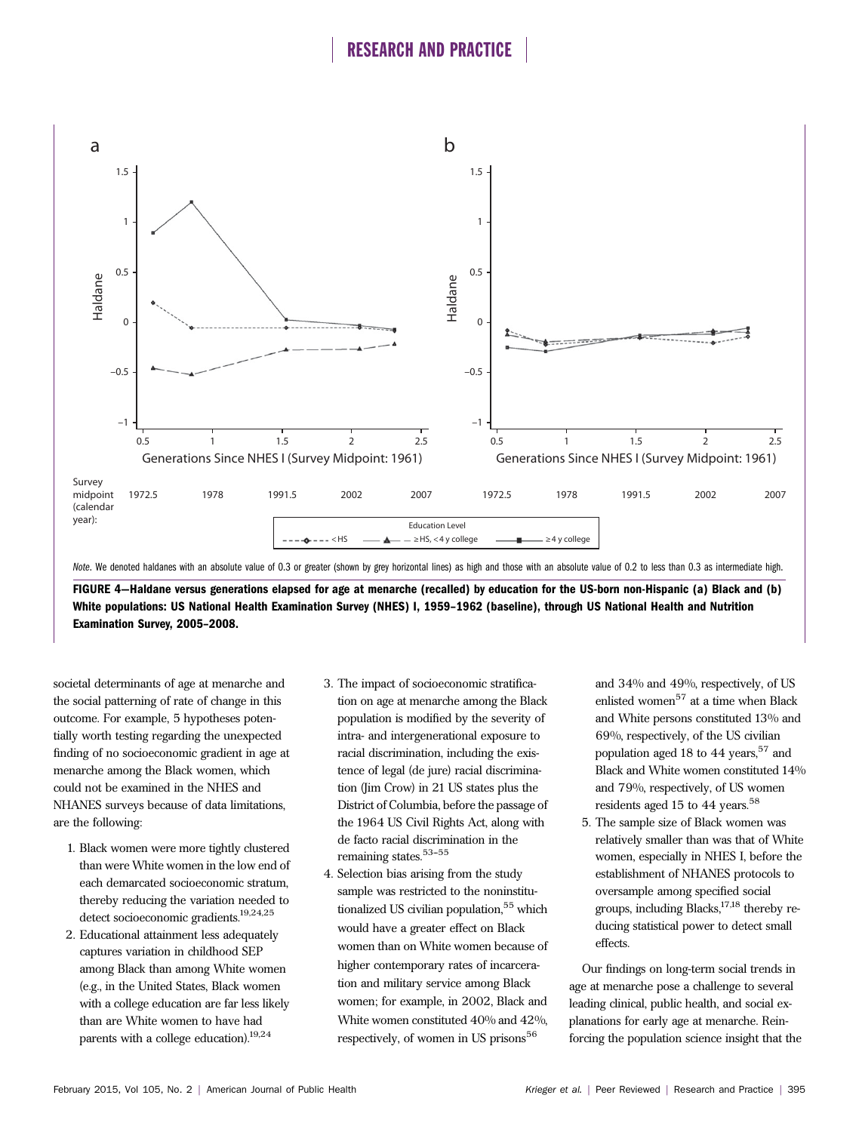

FIGURE 4—Haldane versus generations elapsed for age at menarche (recalled) by education for the US-born non-Hispanic (a) Black and (b) White populations: US National Health Examination Survey (NHES) I, 1959–1962 (baseline), through US National Health and Nutrition Examination Survey, 2005–2008.

societal determinants of age at menarche and the social patterning of rate of change in this outcome. For example, 5 hypotheses potentially worth testing regarding the unexpected finding of no socioeconomic gradient in age at menarche among the Black women, which could not be examined in the NHES and NHANES surveys because of data limitations, are the following:

- 1. Black women were more tightly clustered than were White women in the low end of each demarcated socioeconomic stratum, thereby reducing the variation needed to detect socioeconomic gradients.19,24,25
- 2. Educational attainment less adequately captures variation in childhood SEP among Black than among White women (e.g., in the United States, Black women with a college education are far less likely than are White women to have had parents with a college education).19,24
- 3. The impact of socioeconomic stratification on age at menarche among the Black population is modified by the severity of intra- and intergenerational exposure to racial discrimination, including the existence of legal (de jure) racial discrimination (Jim Crow) in 21 US states plus the District of Columbia, before the passage of the 1964 US Civil Rights Act, along with de facto racial discrimination in the remaining states.<sup>53-55</sup>
- 4. Selection bias arising from the study sample was restricted to the noninstitutionalized US civilian population,<sup>55</sup> which would have a greater effect on Black women than on White women because of higher contemporary rates of incarceration and military service among Black women; for example, in 2002, Black and White women constituted 40% and 42%, respectively, of women in US prisons<sup>56</sup>

and 34% and 49%, respectively, of US enlisted women<sup>57</sup> at a time when Black and White persons constituted 13% and 69%, respectively, of the US civilian population aged 18 to 44 years,<sup>57</sup> and Black and White women constituted 14% and 79%, respectively, of US women residents aged 15 to 44 years.<sup>58</sup>

5. The sample size of Black women was relatively smaller than was that of White women, especially in NHES I, before the establishment of NHANES protocols to oversample among specified social groups, including Blacks,  $17,18$  thereby reducing statistical power to detect small effects.

Our findings on long-term social trends in age at menarche pose a challenge to several leading clinical, public health, and social explanations for early age at menarche. Reinforcing the population science insight that the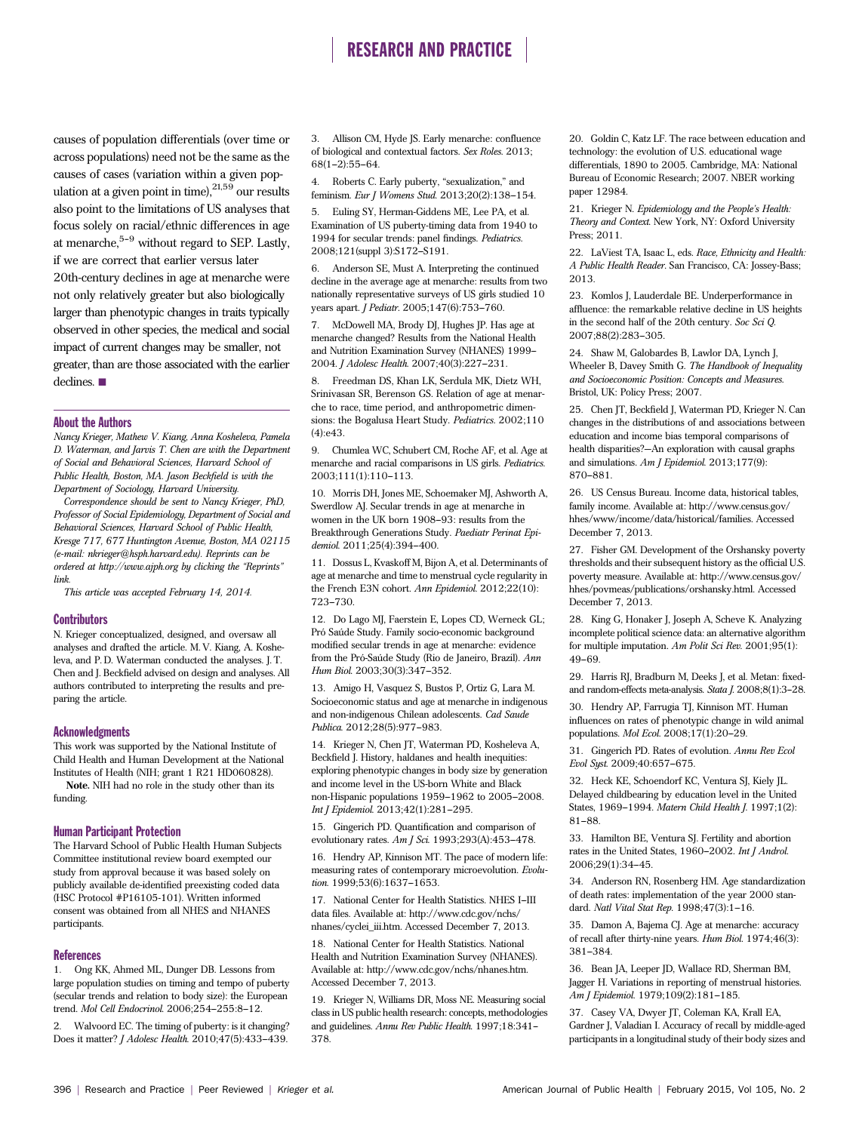causes of population differentials (over time or across populations) need not be the same as the causes of cases (variation within a given population at a given point in time),  $21,59$  our results also point to the limitations of US analyses that focus solely on racial/ethnic differences in age at menarche, $5-9$  without regard to SEP. Lastly, if we are correct that earlier versus later 20th-century declines in age at menarche were not only relatively greater but also biologically larger than phenotypic changes in traits typically observed in other species, the medical and social impact of current changes may be smaller, not greater, than are those associated with the earlier declines.  $\blacksquare$ 

#### About the Authors

Nancy Krieger, Mathew V. Kiang, Anna Kosheleva, Pamela D. Waterman, and Jarvis T. Chen are with the Department of Social and Behavioral Sciences, Harvard School of Public Health, Boston, MA. Jason Beckfield is with the Department of Sociology, Harvard University.

Correspondence should be sent to Nancy Krieger, PhD, Professor of Social Epidemiology, Department of Social and Behavioral Sciences, Harvard School of Public Health, Kresge 717, 677 Huntington Avenue, Boston, MA 02115 (e-mail: [nkrieger@hsph.harvard.edu](mailto:nkrieger@hsph.harvard.edu)). Reprints can be ordered at http://www.ajph.org by clicking the "Reprints" link.

This article was accepted February 14, 2014.

#### **Contributors**

N. Krieger conceptualized, designed, and oversaw all analyses and drafted the article. M. V. Kiang, A. Kosheleva, and P. D. Waterman conducted the analyses. J. T. Chen and J. Beckfield advised on design and analyses. All authors contributed to interpreting the results and preparing the article.

#### Acknowledgments

This work was supported by the National Institute of Child Health and Human Development at the National Institutes of Health (NIH; grant 1 R21 HD060828).

Note. NIH had no role in the study other than its funding.

### Human Participant Protection

The Harvard School of Public Health Human Subjects Committee institutional review board exempted our study from approval because it was based solely on publicly available de-identified preexisting coded data (HSC Protocol #P16105-101). Written informed consent was obtained from all NHES and NHANES participants.

#### References

1. Ong KK, Ahmed ML, Dunger DB. Lessons from large population studies on timing and tempo of puberty (secular trends and relation to body size): the European trend. Mol Cell Endocrinol. 2006;254-255:8-12.

Walvoord EC. The timing of puberty: is it changing? Does it matter? *J Adolesc Health.* 2010;47(5):433-439.

3. Allison CM, Hyde JS. Early menarche: confluence of biological and contextual factors. Sex Roles. 2013;  $68(1-2):55-64.$ 

4. Roberts C. Early puberty, "sexualization," and feminism. Eur J Womens Stud. 2013;20(2):138-154.

5. Euling SY, Herman-Giddens ME, Lee PA, et al. Examination of US puberty-timing data from 1940 to 1994 for secular trends: panel findings. Pediatrics. 2008;121(suppl 3):S172-S191.

6. Anderson SE, Must A. Interpreting the continued decline in the average age at menarche: results from two nationally representative surveys of US girls studied 10 years apart. *J Pediatr*. 2005;147(6):753-760.

7. McDowell MA, Brody DJ, Hughes JP. Has age at menarche changed? Results from the National Health and Nutrition Examination Survey (NHANES) 1999-2004. J Adolesc Health. 2007;40(3):227-231.

8. Freedman DS, Khan LK, Serdula MK, Dietz WH, Srinivasan SR, Berenson GS. Relation of age at menarche to race, time period, and anthropometric dimensions: the Bogalusa Heart Study. Pediatrics. 2002;110 (4):e43.

9. Chumlea WC, Schubert CM, Roche AF, et al. Age at menarche and racial comparisons in US girls. Pediatrics.  $2003;111(1):110-113.$ 

10. Morris DH, Jones ME, Schoemaker MJ, Ashworth A, Swerdlow AJ. Secular trends in age at menarche in women in the UK born 1908-93: results from the Breakthrough Generations Study. Paediatr Perinat Epidemiol. 2011;25(4):394-400.

11. Dossus L, Kvaskoff M, Bijon A, et al. Determinants of age at menarche and time to menstrual cycle regularity in the French E3N cohort. Ann Epidemiol. 2012;22(10): 723-730

12. Do Lago MJ, Faerstein E, Lopes CD, Werneck GL; Pró Saúde Study. Family socio-economic background modified secular trends in age at menarche: evidence from the Pró-Saúde Study (Rio de Janeiro, Brazil). Ann Hum Biol. 2003;30(3):347-352.

13. Amigo H, Vasquez S, Bustos P, Ortiz G, Lara M. Socioeconomic status and age at menarche in indigenous and non-indigenous Chilean adolescents. Cad Saude Publica. 2012;28(5):977-983.

14. Krieger N, Chen JT, Waterman PD, Kosheleva A, Beckfield J. History, haldanes and health inequities: exploring phenotypic changes in body size by generation and income level in the US-born White and Black non-Hispanic populations  $1959-1962$  to  $2005-2008$ . Int J Epidemiol. 2013;42(1):281-295.

15. Gingerich PD. Quantification and comparison of evolutionary rates.  $Am J Sci.$  1993;293(A):453-478.

16. Hendry AP, Kinnison MT. The pace of modern life: measuring rates of contemporary microevolution. Evolution.  $1999;53(6):1637-1653.$ 

17. National Center for Health Statistics. NHES I-III data files. Available at: [http://www.cdc.gov/nchs/](http://www.cdc.gov/nchs/nhanes/cyclei_iii.htm) [nhanes/cyclei\\_iii.htm.](http://www.cdc.gov/nchs/nhanes/cyclei_iii.htm) Accessed December 7, 2013.

18. National Center for Health Statistics. National Health and Nutrition Examination Survey (NHANES). Available at: [http://www.cdc.gov/nchs/nhanes.htm.](http://www.cdc.gov/nchs/nhanes.htm) Accessed December 7, 2013.

19. Krieger N, Williams DR, Moss NE. Measuring social class in US public health research: concepts, methodologies and guidelines. Annu Rev Public Health. 1997;18:341-378.

20. Goldin C, Katz LF. The race between education and technology: the evolution of U.S. educational wage differentials, 1890 to 2005. Cambridge, MA: National Bureau of Economic Research; 2007. NBER working paper 12984.

21. Krieger N. Epidemiology and the People's Health: Theory and Context. New York, NY: Oxford University Press; 2011.

22. LaViest TA, Isaac L, eds. Race, Ethnicity and Health: A Public Health Reader. San Francisco, CA: Jossey-Bass; 2013.

23. Komlos J, Lauderdale BE. Underperformance in affluence: the remarkable relative decline in US heights in the second half of the 20th century. Soc Sci Q. 2007;88(2):283-305.

24. Shaw M, Galobardes B, Lawlor DA, Lynch J, Wheeler B, Davey Smith G. The Handbook of Inequality and Socioeconomic Position: Concepts and Measures. Bristol, UK: Policy Press; 2007.

25. Chen JT, Beckfield J, Waterman PD, Krieger N. Can changes in the distributions of and associations between education and income bias temporal comparisons of health disparities?—An exploration with causal graphs and simulations. Am J Epidemiol. 2013;177(9): 870-881

26. US Census Bureau. Income data, historical tables, family income. Available at: [http://www.census.gov/](http://www.census.gov/hhes/www/income/data/historical/families) [hhes/www/income/data/historical/families](http://www.census.gov/hhes/www/income/data/historical/families). Accessed December 7, 2013.

27. Fisher GM. Development of the Orshansky poverty thresholds and their subsequent history as the official U.S. poverty measure. Available at: [http://www.census.gov/](http://www.census.gov/hhes/povmeas/publications/orshansky.html) [hhes/povmeas/publications/orshansky.html.](http://www.census.gov/hhes/povmeas/publications/orshansky.html) Accessed December 7, 2013.

28. King G, Honaker J, Joseph A, Scheve K. Analyzing incomplete political science data: an alternative algorithm for multiple imputation. Am Polit Sci Rev. 2001;95(1): 49-69.

29. Harris RJ, Bradburn M, Deeks J, et al. Metan: fixedand random-effects meta-analysis. Stata J. 2008;8(1):3-28.

30. Hendry AP, Farrugia TJ, Kinnison MT. Human influences on rates of phenotypic change in wild animal populations. Mol Ecol. 2008;17(1):20-29.

31. Gingerich PD. Rates of evolution. Annu Rev Ecol Evol Syst. 2009;40:657-675.

32. Heck KE, Schoendorf KC, Ventura SJ, Kiely JL. Delayed childbearing by education level in the United States, 1969-1994. Matern Child Health J. 1997;1(2):  $81 - 88.$ 

33. Hamilton BE, Ventura SJ. Fertility and abortion rates in the United States, 1960-2002. Int J Androl. 2006;29(1):34-45.

34. Anderson RN, Rosenberg HM. Age standardization of death rates: implementation of the year 2000 standard. Natl Vital Stat Rep. 1998;47(3):1-16.

35. Damon A, Bajema CJ. Age at menarche: accuracy of recall after thirty-nine years. Hum Biol. 1974;46(3): 381-384.

36. Bean JA, Leeper JD, Wallace RD, Sherman BM, Jagger H. Variations in reporting of menstrual histories. Am J Epidemiol. 1979;109(2):181-185.

37. Casey VA, Dwyer JT, Coleman KA, Krall EA, Gardner J, Valadian I. Accuracy of recall by middle-aged participants in a longitudinal study of their body sizes and